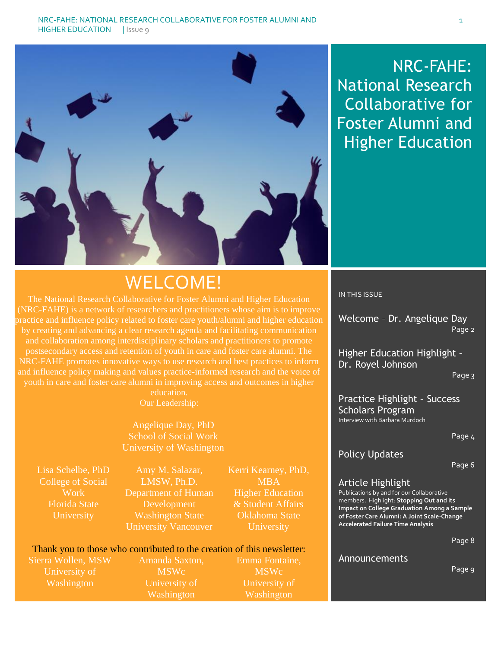

## NRC-FAHE: National Research Collaborative for Foster Alumni and Higher Education

# WELCOME!

The National Research Collaborative for Foster Alumni and Higher Education (NRC-FAHE) is a network of researchers and practitioners whose aim is to improve practice and influence policy related to foster care youth/alumni and higher education by creating and advancing a clear research agenda and facilitating communication and collaboration among interdisciplinary scholars and practitioners to promote postsecondary access and retention of youth in care and foster care alumni. The NRC-FAHE promotes innovative ways to use research and best practices to inform and influence policy making and values practice-informed research and the voice of youth in care and foster care alumni in improving access and outcomes in higher

education. Our Leadership:

Angelique Day, PhD School of Social Work University of Washington

Lisa Schelbe, PhD College of Social Work Florida State University

Amy M. Salazar, LMSW, Ph.D. Department of Human Development Washington State University Vancouver

Kerri Kearney, PhD, MBA Higher Education & Student Affairs Oklahoma State **University** 

#### Thank you to those who contributed to the creation of this newsletter:

Sierra Wollen, MSW University of Washington

Amanda Saxton, MSWc University of Washington

Emma Fontaine, MSWc University of Washington

IN THIS ISSUE

Welcome – Dr. Angelique Day Page 2

Higher Education Highlight – Dr. Royel Johnson

Page 3

Practice Highlight – Success Scholars Program Interview with Barbara Murdoch

Page 4

## Policy Updates

Page 6

#### Article Highlight

Publications by and for our Collaborative members. Highlight: **Stopping Out and its Impact on College Graduation Among a Sample of Foster Care Alumni: A Joint Scale-Change Accelerated Failure Time Analysis**

Page 8

#### Announcements

Page 9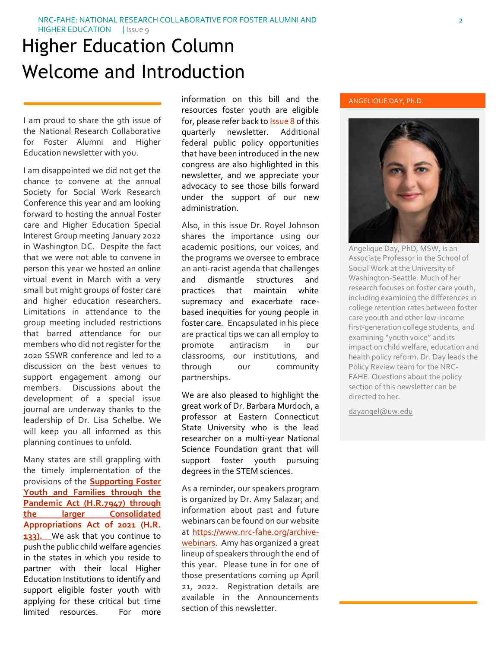# Higher Education Column Welcome and Introduction

I am proud to share the 9th issue of the National Research Collaborative for Foster Alumni and Higher Education newsletter with you.

I am disappointed we did not get the chance to convene at the annual Society for Social Work Research Conference this year and am looking forward to hosting the annual Foster care and Higher Education Special Interest Group meeting January 2022 in Washington DC. Despite the fact that we were not able to convene in person this year we hosted an online virtual event in March with a very small but might groups of foster care and higher education researchers. Limitations in attendance to the group meeting included restrictions that barred attendance for our members who did not register for the 2020 SSWR conference and led to a discussion on the best venues to support engagement among our members. Discussions about the development of a special issue journal are underway thanks to the leadership of Dr. Lisa Schelbe. We will keep you all informed as this planning continues to unfold.

Many states are still grappling with the timely implementation of the provisions of the **[Supporting Foster](https://www.congress.gov/bill/116th-congress/house-bill/7947/text?q=%7B%22search%22%3A%5B%22foster+youth%22%5D%7D&r=13&s=4)  [Youth and Families through the](https://www.congress.gov/bill/116th-congress/house-bill/7947/text?q=%7B%22search%22%3A%5B%22foster+youth%22%5D%7D&r=13&s=4)  [Pandemic Act \(H.R.7947\)](https://www.congress.gov/bill/116th-congress/house-bill/7947/text?q=%7B%22search%22%3A%5B%22foster+youth%22%5D%7D&r=13&s=4) through the larger Consolidated Appropriations Act of 2021 (H.R. 133).** We ask that you continue to push the public child welfare agencies in the states in which you reside to partner with their local Higher Education Institutions to identify and support eligible foster youth with applying for these critical but time limited resources. For more

information on this bill and the resources foster youth are eligible for, please refer back t[o Issue 8](https://www.nrc-fahe.org/newsletter-archive) of this quarterly newsletter. Additional federal public policy opportunities that have been introduced in the new congress are also highlighted in this newsletter, and we appreciate your advocacy to see those bills forward under the support of our new administration.

Also, in this issue Dr. Royel Johnson shares the importance using our academic positions, our voices, and the programs we oversee to embrace an anti-racist agenda that challenges and dismantle structures and practices that maintain white supremacy and exacerbate racebased inequities for young people in foster care. Encapsulated in his piece are practical tips we can all employ to promote antiracism in our classrooms, our institutions, and through our community partnerships.

We are also pleased to highlight the great work of Dr. Barbara Murdoch, a professor at Eastern Connecticut State University who is the lead researcher on a multi-year National Science Foundation grant that will support foster youth pursuing degrees in the STEM sciences.

As a reminder, our speakers program is organized by Dr. Amy Salazar; and information about past and future webinars can be found on our website at [https://www.nrc-fahe.org/archive](https://www.nrc-fahe.org/archive-webinars)[webinars.](https://www.nrc-fahe.org/archive-webinars) Amy has organized a great lineup of speakers through the end of this year. Please tune in for one of those presentations coming up April 21, 2022. Registration details are available in the Announcements section of this newsletter.

#### ANGELIQUE DAY, Ph.D.



Associate Professor in the School of Social Work at the University of Washington-Seattle. Much of her research focuses on foster care youth, including examining the differences in college retention rates between foster care y0outh and other low-income first-generation college students, and examining "youth voice" and its impact on child welfare, education and health policy reform. Dr. Day leads the Policy Review team for the NRC-FAHE. Questions about the policy section of this newsletter can be directed to her.

[dayangel@uw.edu](mailto:dayangel@uw.edu)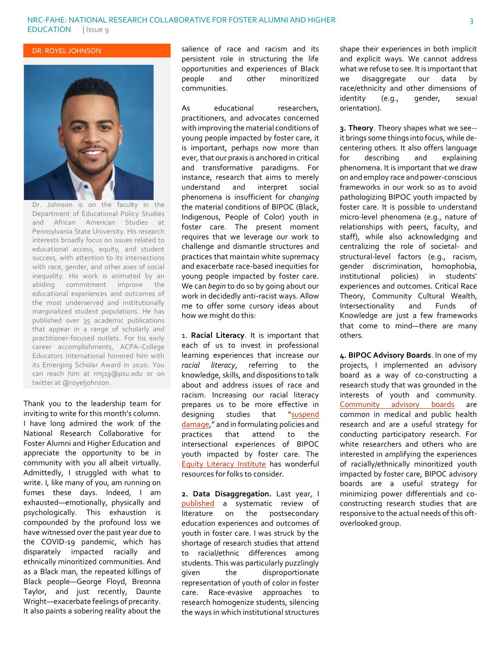DR. ROYEL JOHNSON



Dr. Johnson is on the faculty in the Department of Educational Policy Studies and African American Studies at Pennsylvania State University. His research interests broadly focus on issues related to educational access, equity, and student success, with attention to its intersections with race, gender, and other axes of social inequality. His work is animated by an abiding commitment improve the educational experiences and outcomes of the most underserved and institutionally marginalized student populations. He has published over 35 academic publications that appear in a range of scholarly and practitioner-focused outlets. For his early career accomplishments, ACPA–College Educators International honored him with its Emerging Scholar Award in 2020. You can reach him at rmj19@psu.edu or on twitter at @royeljohnson.

Thank you to the leadership team for inviting to write for this month's column. I have long admired the work of the National Research Collaborative for Foster Alumni and Higher Education and appreciate the opportunity to be in community with you all albeit virtually. Admittedly, I struggled with what to write. I, like many of you, am running on fumes these days. Indeed, I am exhausted—emotionally, physically and psychologically. This exhaustion is compounded by the profound loss we have witnessed over the past year due to the COVID-19 pandemic, which has disparately impacted racially and ethnically minoritized communities. And as a Black man, the repeated killings of Black people—George Floyd, Breonna Taylor, and just recently, Daunte Wright—exacerbate feelings of precarity. It also paints a sobering reality about the salience of race and racism and its persistent role in structuring the life opportunities and experiences of Black people and other minoritized communities.

As educational researchers, practitioners, and advocates concerned with improving the material conditions of young people impacted by foster care, it is important, perhaps now more than ever, that our praxis is anchored in critical and transformative paradigms. For instance, research that aims to merely understand and interpret social phenomena is insufficient for *changing* the material conditions of BIPOC (Black, Indigenous, People of Color) youth in foster care. The present moment requires that we leverage our work to challenge and dismantle structures and practices that maintain white supremacy and exacerbate race-based inequities for young people impacted by foster care. We can *begin* to do so by going about our work in decidedly anti-racist ways. Allow me to offer some cursory ideas about how we might do this:

1. **Racial Literacy**. It is important that each of us to invest in professional learning experiences that increase our *racial literacy*, referring to the knowledge, skills, and dispositions to talk about and address issues of race and racism. Increasing our racial literacy prepares us to be more effective in designing studies that "[suspend](https://meridian.allenpress.com/her/article-abstract/79/3/409/31956/Suspending-Damage-A-Letter-to-Communities?redirectedFrom=fulltext)  [damage](https://meridian.allenpress.com/her/article-abstract/79/3/409/31956/Suspending-Damage-A-Letter-to-Communities?redirectedFrom=fulltext)," and in formulating policies and practices that attend to the intersectional experiences of BIPOC youth impacted by foster care. The [Equity Literacy Institute](https://www.equityliteracy.org/educational-equity-resources) has wonderful resources for folks to consider.

**2. Data Disaggregation.** Last year, I [published](https://www.researchgate.net/publication/336785102_The_State_of_Research_on_Undergraduate_Youth_Formerly_in_Foster_Care_A_Systematic_Review_of_the_Literature) a systematic review of literature on the postsecondary education experiences and outcomes of youth in foster care. I was struck by the shortage of research studies that attend to racial/ethnic differences among students. This was particularly puzzlingly given the disproportionate representation of youth of color in foster care. Race-evasive approaches to research homogenize students, silencing the ways in which institutional structures shape their experiences in both implicit and explicit ways. We cannot address what we refuse to see. It is important that we disaggregate our data by race/ethnicity and other dimensions of identity (e.g., gender, sexual orientation).

**3. Theory**. Theory shapes what we see- it brings some things into focus, while decentering others. It also offers language for describing and explaining phenomena. It is important that we draw on and employ race and power-conscious frameworks in our work so as to avoid pathologizing BIPOC youth impacted by foster care. It is possible to understand micro-level phenomena (e.g., nature of relationships with peers, faculty, and staff), while also acknowledging and centralizing the role of societal- and structural-level factors (e.g., racism, gender discrimination, homophobia, institutional policies) in students' experiences and outcomes. Critical Race Theory, Community Cultural Wealth, Intersectionality and Funds of Knowledge are just a few frameworks that come to mind—there are many others.

**4. BIPOC Advisory Boards**. In one of my projects, I implemented an advisory board as a way of co-constructing a research study that was grounded in the interests of youth and community. [Community advisory boards](https://www.solvingdisparities.org/sites/default/files/CAB_tips.pdf) are common in medical and public health research and are a useful strategy for conducting participatory research. For white researchers and others who are interested in amplifying the experiences of racially/ethnically minoritized youth impacted by foster care, BIPOC advisory boards are a useful strategy for minimizing power differentials and coconstructing research studies that are responsive to the actual needs of this oftoverlooked group.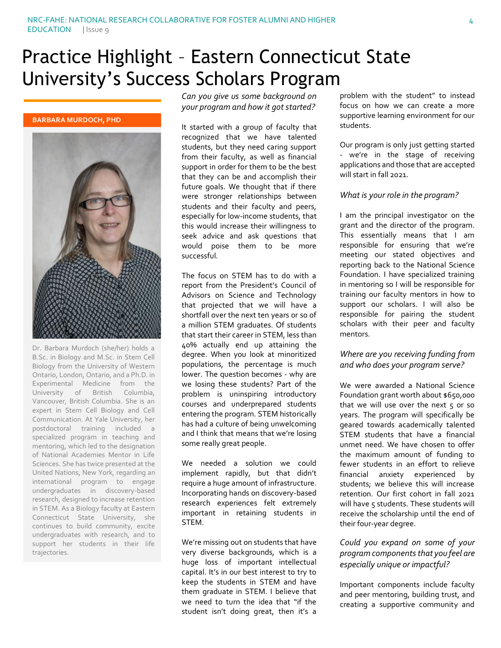# Practice Highlight – Eastern Connecticut State University's Success Scholars Program

#### **BARBARA MURDOCH, PHD**



Dr. Barbara Murdoch (she/her) holds a B.Sc. in Biology and M.Sc. in Stem Cell Biology from the University of Western Ontario, London, Ontario, and a Ph.D. in Experimental Medicine from the University of British Columbia, Vancouver, British Columbia. She is an expert in Stem Cell Biology and Cell Communication. At Yale University, her postdoctoral training included a specialized program in teaching and mentoring, which led to the designation of National Academies Mentor in Life Sciences. She has twice presented at the United Nations, New York, regarding an international program to engage undergraduates in discovery-based research, designed to increase retention in STEM. As a Biology faculty at Eastern Connecticut State University, she continues to build community, excite undergraduates with research, and to support her students in their life trajectories.

*Can you give us some background on your program and how it got started?*

It started with a group of faculty that recognized that we have talented students, but they need caring support from their faculty, as well as financial support in order for them to be the best that they can be and accomplish their future goals. We thought that if there were stronger relationships between students and their faculty and peers, especially for low-income students, that this would increase their willingness to seek advice and ask questions that would poise them to be more successful.

The focus on STEM has to do with a report from the President's Council of Advisors on Science and Technology that projected that we will have a shortfall over the next ten years or so of a million STEM graduates. Of students that start their career in STEM, less than 40% actually end up attaining the degree. When you look at minoritized populations, the percentage is much lower. The question becomes - why are we losing these students? Part of the problem is uninspiring introductory courses and underprepared students entering the program. STEM historically has had a culture of being unwelcoming and I think that means that we're losing some really great people.

We needed a solution we could implement rapidly, but that didn't require a huge amount of infrastructure. Incorporating hands on discovery-based research experiences felt extremely important in retaining students in STEM.

We're missing out on students that have very diverse backgrounds, which is a huge loss of important intellectual capital. It's in our best interest to try to keep the students in STEM and have them graduate in STEM. I believe that we need to turn the idea that "if the student isn't doing great, then it's a

problem with the student" to instead focus on how we can create a more supportive learning environment for our students.

Our program is only just getting started - we're in the stage of receiving applications and those that are accepted will start in fall 2021.

#### *What is your role in the program?*

I am the principal investigator on the grant and the director of the program. This essentially means that I am responsible for ensuring that we're meeting our stated objectives and reporting back to the National Science Foundation. I have specialized training in mentoring so I will be responsible for training our faculty mentors in how to support our scholars. I will also be responsible for pairing the student scholars with their peer and faculty mentors.

#### *Where are you receiving funding from and who does your program serve?*

We were awarded a National Science Foundation grant worth about \$650,000 that we will use over the next  $5$  or so years. The program will specifically be geared towards academically talented STEM students that have a financial unmet need. We have chosen to offer the maximum amount of funding to fewer students in an effort to relieve financial anxiety experienced by students; we believe this will increase retention. Our first cohort in fall 2021 will have 5 students. These students will receive the scholarship until the end of their four-year degree.

#### *Could you expand on some of your program components that you feel are especially unique or impactful?*

Important components include faculty and peer mentoring, building trust, and creating a supportive community and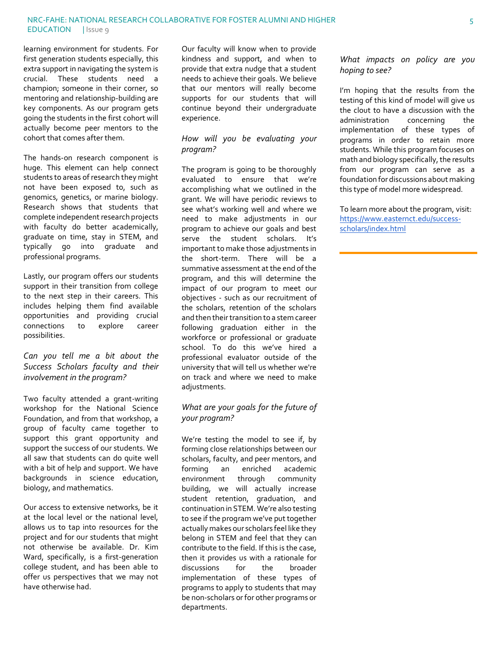learning environment for students. For first generation students especially, this extra support in navigating the system is crucial. These students need a champion; someone in their corner, so mentoring and relationship-building are key components. As our program gets going the students in the first cohort will actually become peer mentors to the cohort that comes after them.

The hands-on research component is huge. This element can help connect students to areas of research they might not have been exposed to, such as genomics, genetics, or marine biology. Research shows that students that complete independent research projects with faculty do better academically, graduate on time, stay in STEM, and typically go into graduate and professional programs.

Lastly, our program offers our students support in their transition from college to the next step in their careers. This includes helping them find available opportunities and providing crucial<br>connections to explore career connections to explore career possibilities.

#### *Can you tell me a bit about the Success Scholars faculty and their involvement in the program?*

Two faculty attended a grant-writing workshop for the National Science Foundation, and from that workshop, a group of faculty came together to support this grant opportunity and support the success of our students. We all saw that students can do quite well with a bit of help and support. We have backgrounds in science education, biology, and mathematics.

Our access to extensive networks, be it at the local level or the national level, allows us to tap into resources for the project and for our students that might not otherwise be available. Dr. Kim Ward, specifically, is a first-generation college student, and has been able to offer us perspectives that we may not have otherwise had.

Our faculty will know when to provide kindness and support, and when to provide that extra nudge that a student needs to achieve their goals. We believe that our mentors will really become supports for our students that will continue beyond their undergraduate experience.

#### *How will you be evaluating your program?*

The program is going to be thoroughly evaluated to ensure that we're accomplishing what we outlined in the grant. We will have periodic reviews to see what's working well and where we need to make adjustments in our program to achieve our goals and best serve the student scholars. It's important to make those adjustments in the short-term. There will be a summative assessment at the end of the program, and this will determine the impact of our program to meet our objectives - such as our recruitment of the scholars, retention of the scholars and then their transition to a stem career following graduation either in the workforce or professional or graduate school. To do this we've hired a professional evaluator outside of the university that will tell us whether we're on track and where we need to make adiustments.

#### *What are your goals for the future of your program?*

We're testing the model to see if, by forming close relationships between our scholars, faculty, and peer mentors, and forming an enriched academic environment through community building, we will actually increase student retention, graduation, and continuation in STEM. We're also testing to see if the program we've put together actually makes our scholars feel like they belong in STEM and feel that they can contribute to the field. If this is the case, then it provides us with a rationale for discussions for the broader implementation of these types of programs to apply to students that may be non-scholars or for other programs or departments.

#### *What impacts on policy are you hoping to see?*

I'm hoping that the results from the testing of this kind of model will give us the clout to have a discussion with the administration concerning the implementation of these types of programs in order to retain more students. While this program focuses on math and biology specifically, the results from our program can serve as a foundation for discussions about making this type of model more widespread.

To learn more about the program, visit: [https://www.easternct.edu/success](https://www.easternct.edu/success-scholars/index.html)[scholars/index.html](https://www.easternct.edu/success-scholars/index.html)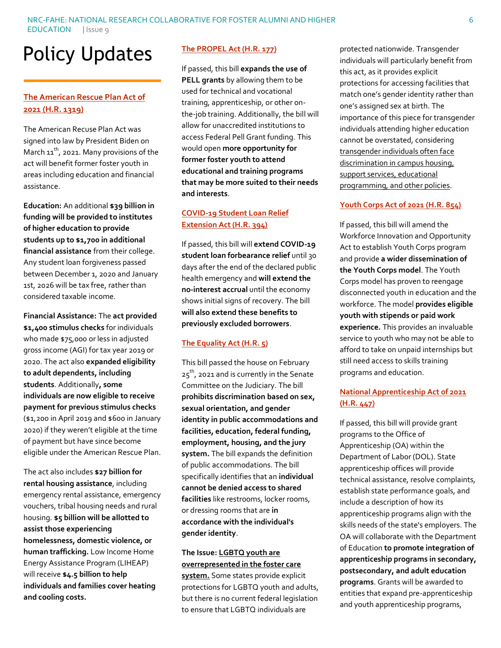#### NRC-FAHE: NATIONAL RESEARCH COLLABORATIVE FOR FOSTER ALUMNI AND HIGHER EDUCATION | Issue 9

# Policy Updates

## **[The American Rescue Plan Act](https://www.congress.gov/bill/117th-congress/house-bill/1319) of [2021 \(H.R. 1319\)](https://www.congress.gov/bill/117th-congress/house-bill/1319)**

The American Recuse Plan Act was signed into law by President Biden on March  $11^{th}$ , 2021. Many provisions of the act will benefit former foster youth in areas including education and financial assistance.

**Education:** An additional **\$39 billion in funding will be provided to institutes of higher education to provide students up to \$1,700 in additional financial assistance** from their college. Any student loan forgiveness passed between December 1, 2020 and January 1st, 2026 will be tax free, rather than considered taxable income.

**Financial Assistance:** The **act provided \$1,400 stimulus checks** for individuals who made \$75,000 or less in adjusted gross income (AGI) for tax year 2019 or 2020. The act also **expanded eligibility to adult dependents, including students**. Additionally**, some individuals are now eligible to receive payment for previous stimulus checks** (\$1,200 in April 2019 and \$600 in January 2020) if they weren't eligible at the time of payment but have since become eligible under the American Rescue Plan.

The act also includes **\$27 billion for rental housing assistance**, including emergency rental assistance, emergency vouchers, tribal housing needs and rural housing. **\$5 billion will be allotted to assist those experiencing homelessness, domestic violence, or human trafficking.** Low Income Home Energy Assistance Program (LIHEAP) will receive **\$4.5 billion to help individuals and families cover heating and cooling costs.**

#### **[The PROPEL Act \(H.R. 177\)](https://www.congress.gov/bill/117th-congress/house-bill/177?s=6&r=11)**

If passed, this bill **expands the use of PELL grants** by allowing them to be used for technical and vocational training, apprenticeship, or other onthe-job training. Additionally, the bill will allow for unaccredited institutions to access Federal Pell Grant funding. This would open **more opportunity for former foster youth to attend educational and training programs that may be more suited to their needs and interests**.

#### **[COVID-19 Student Loan Relief](https://www.congress.gov/bill/117th-congress/house-bill/394?s=4&r=159)  [Extension Act \(H.R. 394\)](https://www.congress.gov/bill/117th-congress/house-bill/394?s=4&r=159)**

If passed, this bill will **extend COVID-19 student loan forbearance relief** until 30 days after the end of the declared public health emergency and **will extend the no-interest accrual** until the economy shows initial signs of recovery. The bill **will also extend these benefits to previously excluded borrowers**.

#### **[The Equality Act \(H.R. 5\)](https://www.congress.gov/bill/117th-congress/house-bill/5)**

This bill passed the house on February  $25<sup>th</sup>$ , 2021 and is currently in the Senate Committee on the Judiciary. The bill **prohibits discrimination based on sex, sexual orientation, and gender identity in public accommodations and facilities, education, federal funding, employment, housing, and the jury system.** The bill expands the definition of public accommodations. The bill specifically identifies that an **individual cannot be denied access to shared facilities** like restrooms, locker rooms, or dressing rooms that are **in accordance with the individual's gender identity**.

#### **The Issue: [LGBTQ youth are](https://assets2.hrc.org/files/assets/resources/HRC-YouthFosterCare-IssueBrief-FINAL.pdf)  [overrepresented in the foster care](https://assets2.hrc.org/files/assets/resources/HRC-YouthFosterCare-IssueBrief-FINAL.pdf)**

**[system.](https://assets2.hrc.org/files/assets/resources/HRC-YouthFosterCare-IssueBrief-FINAL.pdf)** Some states provide explicit protections for LGBTQ youth and adults, but there is no current federal legislation to ensure that LGBTQ individuals are

protected nationwide. Transgender individuals will particularly benefit from this act, as it provides explicit protections for accessing facilities that match one's gender identity rather than one's assigned sex at birth. The importance of this piece for transgender individuals attending higher education cannot be overstated, considering [transgender individuals often face](https://vp.studentlife.uiowa.edu/assets/73e14e235f/Transgender-Issues-on-College-Campuses.pdf)  [discrimination in campus housing,](https://vp.studentlife.uiowa.edu/assets/73e14e235f/Transgender-Issues-on-College-Campuses.pdf)  [support services, educational](https://vp.studentlife.uiowa.edu/assets/73e14e235f/Transgender-Issues-on-College-Campuses.pdf)  [programming, and other policies.](https://vp.studentlife.uiowa.edu/assets/73e14e235f/Transgender-Issues-on-College-Campuses.pdf)

#### **[Youth Corps Act of 2021 \(H.R. 854\)](https://www.congress.gov/bill/117th-congress/house-bill/854?q=%7B%22search%22%3A%5B%22foster+youth%22%5D%7D&s=1&r=1)**

If passed, this bill will amend the Workforce Innovation and Opportunity Act to establish Youth Corps program and provide **a wider dissemination of the Youth Corps model**. The Youth Corps model has proven to reengage disconnected youth in education and the workforce. The model **provides eligible youth with stipends or paid work experience.** This provides an invaluable service to youth who may not be able to afford to take on unpaid internships but still need access to skills training programs and education.

## **[National Apprenticeship Act of 2021](https://www.congress.gov/bill/117th-congress/house-bill/447?q=%7B%22search%22%3A%5B%22foster+youth%22%5D%7D&s=1&r=4) [\(H.R. 447\)](https://www.congress.gov/bill/117th-congress/house-bill/447?q=%7B%22search%22%3A%5B%22foster+youth%22%5D%7D&s=1&r=4)**

If passed, this bill will provide grant programs to the Office of Apprenticeship (OA) within the Department of Labor (DOL). State apprenticeship offices will provide technical assistance, resolve complaints, establish state performance goals, and include a description of how its apprenticeship programs align with the skills needs of the state's employers. The OA will collaborate with the Department of Education **to promote integration of apprenticeship programs in secondary, postsecondary, and adult education programs**. Grants will be awarded to entities that expand pre-apprenticeship and youth apprenticeship programs,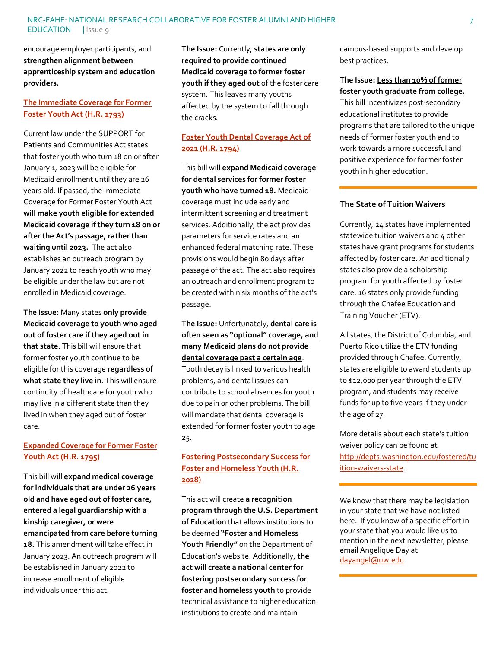encourage employer participants, and **strengthen alignment between apprenticeship system and education providers.**

#### **[The Immediate Coverage for Former](https://www.congress.gov/bill/117th-congress/house-bill/1793)  [Foster Youth Act \(H.R. 1793\)](https://www.congress.gov/bill/117th-congress/house-bill/1793)**

Current law under the SUPPORT for Patients and Communities Act states that foster youth who turn 18 on or after January 1, 2023 will be eligible for Medicaid enrollment until they are 26 years old. If passed, the Immediate Coverage for Former Foster Youth Act **will make youth eligible for extended Medicaid coverage if they turn 18 on or after the Act's passage, rather than waiting until 2023.** The act also establishes an outreach program by January 2022 to reach youth who may be eligible under the law but are not enrolled in Medicaid coverage.

**The Issue:** Many states **only provide Medicaid coverage to youth who aged out of foster care if they aged out in that state**. This bill will ensure that former foster youth continue to be eligible for this coverage **regardless of what state they live in**. This will ensure continuity of healthcare for youth who may live in a different state than they lived in when they aged out of foster care.

## **[Expanded Coverage for Former Foster](https://www.congress.gov/bill/117th-congress/house-bill/1795)  [Youth Act \(H.R. 1795\)](https://www.congress.gov/bill/117th-congress/house-bill/1795)**

This bill will **expand medical coverage for individuals that are under 26 years old and have aged out of foster care, entered a legal guardianship with a kinship caregiver, or were emancipated from care before turning 18.** This amendment will take effect in January 2023. An outreach program will be established in January 2022 to increase enrollment of eligible individuals under this act.

**The Issue:** Currently, **states are only required to provide continued Medicaid coverage to former foster youth if they aged out** of the foster care system. This leaves many youths affected by the system to fall through the cracks.

## **[Foster Youth Dental Coverage Act of](https://www.congress.gov/bill/117th-congress/house-bill/1794)  [2021 \(H.R. 1794\)](https://www.congress.gov/bill/117th-congress/house-bill/1794)**

This bill will **expand Medicaid coverage for dental services for former foster youth who have turned 18.** Medicaid coverage must include early and intermittent screening and treatment services. Additionally, the act provides parameters for service rates and an enhanced federal matching rate. These provisions would begin 80 days after passage of the act. The act also requires an outreach and enrollment program to be created within six months of the act's passage.

**The Issue:** Unfortunately, **[dental care is](https://www.cwla.org/bass-bill-expands-dental-access-for-youth-in-foster-care/)  often seen as ["optional" coverage, and](https://www.cwla.org/bass-bill-expands-dental-access-for-youth-in-foster-care/)  [many Medicaid plans do not provide](https://www.cwla.org/bass-bill-expands-dental-access-for-youth-in-foster-care/)  [dental coverage past a certain age](https://www.cwla.org/bass-bill-expands-dental-access-for-youth-in-foster-care/)**.

Tooth decay is linked to various health problems, and dental issues can contribute to school absences for youth due to pain or other problems. The bill will mandate that dental coverage is extended for former foster youth to age 25.

### **[Fostering Postsecondary Success for](https://www.congress.gov/bill/117th-congress/house-bill/2028)  [Foster and Homeless Youth \(H.R.](https://www.congress.gov/bill/117th-congress/house-bill/2028)  [2028\)](https://www.congress.gov/bill/117th-congress/house-bill/2028)**

This act will create **a recognition program through the U.S. Department of Education** that allows institutions to be deemed **"Foster and Homeless Youth Friendly"** on the Department of Education's website. Additionally, **the act will create a national center for fostering postsecondary success for foster and homeless youth** to provide technical assistance to higher education institutions to create and maintain

campus-based supports and develop best practices.

#### **The Issue: [Less than 10% of former](https://www.fc2success.org/knowledge-center/foster-care-the-basics/#:~:text=According%20to%20the%20most%20recent,of%20the%20overall%20U.S.%20population.)  [foster youth graduate from college.](https://www.fc2success.org/knowledge-center/foster-care-the-basics/#:~:text=According%20to%20the%20most%20recent,of%20the%20overall%20U.S.%20population.)**

This bill incentivizes post-secondary educational institutes to provide programs that are tailored to the unique needs of former foster youth and to work towards a more successful and positive experience for former foster youth in higher education.

#### **The State of Tuition Waivers**

Currently, 24 states have implemented statewide tuition waivers and 4 other states have grant programs for students affected by foster care. An additional 7 states also provide a scholarship program for youth affected by foster care. 16 states only provide funding through the Chafee Education and Training Voucher (ETV).

All states, the District of Columbia, and Puerto Rico utilize the ETV funding provided through Chafee. Currently, states are eligible to award students up to \$12,000 per year through the ETV program, and students may receive funds for up to five years if they under the age of 27.

More details about each state's tuition waiver policy can be found at [http://depts.washington.edu/fostered/tu](http://depts.washington.edu/fostered/tuition-waivers-state) [ition-waivers-state.](http://depts.washington.edu/fostered/tuition-waivers-state)

We know that there may be legislation in your state that we have not listed here. If you know of a specific effort in your state that you would like us to mention in the next newsletter, please email Angelique Day at [dayangel@uw.edu.](mailto:dayangel@uw.edu)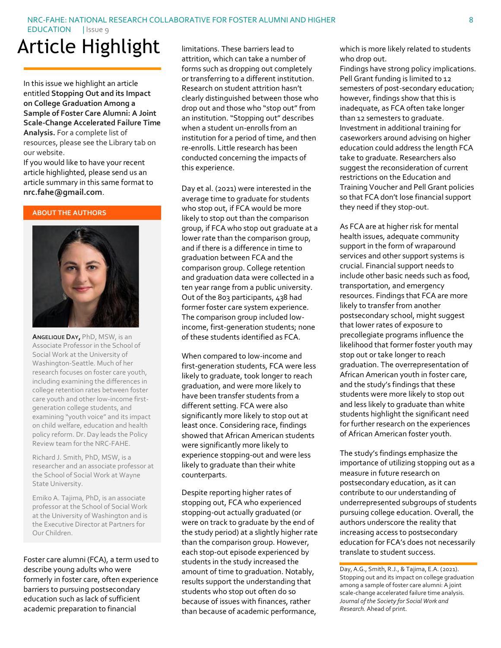#### NRC-FAHE: NATIONAL RESEARCH COLLABORATIVE FOR FOSTER ALUMNI AND HIGHER

EDUCATION | Issue 9

# Article Highlight

In this issue we highlight an article entitled **Stopping Out and its Impact on College Graduation Among a Sample of Foster Care Alumni: A Joint Scale-Change Accelerated Failure Time Analysis.** For a complete list of resources, please see the Library tab on our website.

If you would like to have your recent article highlighted, please send us an article summary in this same format to **nrc.fahe@gmail.com**.

#### **ABOUT THE AUTHORS**



**ANGELIQUE DAY,** PhD, MSW, is an Associate Professor in the School of Social Work at the University of Washington-Seattle. Much of her research focuses on foster care youth, including examining the differences in college retention rates between foster care youth and other low-income firstgeneration college students, and examining "youth voice" and its impact on child welfare, education and health policy reform. Dr. Day leads the Policy Review team for the NRC-FAHE.

Richard J. Smith, PhD, MSW, is a researcher and an associate professor at the School of Social Work at Wayne State University.

Emiko A. Tajima, PhD, is an associate professor at the School of Social Work at the University of Washington and is the Executive Director at Partners for Our Children.

Foster care alumni (FCA), a term used to describe young adults who were formerly in foster care, often experience barriers to pursuing postsecondary education such as lack of sufficient academic preparation to financial

limitations. These barriers lead to attrition, which can take a number of forms such as dropping out completely or transferring to a different institution. Research on student attrition hasn't clearly distinguished between those who drop out and those who "stop out" from an institution. "Stopping out" describes when a student un-enrolls from an institution for a period of time, and then re-enrolls. Little research has been conducted concerning the impacts of this experience.

Day et al. (2021) were interested in the average time to graduate for students who stop out, if FCA would be more likely to stop out than the comparison group, if FCA who stop out graduate at a lower rate than the comparison group, and if there is a difference in time to graduation between FCA and the comparison group. College retention and graduation data were collected in a ten year range from a public university. Out of the 803 participants, 438 had former foster care system experience. The comparison group included lowincome, first-generation students; none of these students identified as FCA.

When compared to low-income and first-generation students, FCA were less likely to graduate, took longer to reach graduation, and were more likely to have been transfer students from a different setting. FCA were also significantly more likely to stop out at least once. Considering race, findings showed that African American students were significantly more likely to experience stopping-out and were less likely to graduate than their white counterparts.

Despite reporting higher rates of stopping out, FCA who experienced stopping-out actually graduated (or were on track to graduate by the end of the study period) at a slightly higher rate than the comparison group. However, each stop-out episode experienced by students in the study increased the amount of time to graduation. Notably, results support the understanding that students who stop out often do so because of issues with finances, rather than because of academic performance,

which is more likely related to students who drop out.

Findings have strong policy implications. Pell Grant funding is limited to 12 semesters of post-secondary education; however, findings show that this is inadequate, as FCA often take longer than 12 semesters to graduate. Investment in additional training for caseworkers around advising on higher education could address the length FCA take to graduate. Researchers also suggest the reconsideration of current restrictions on the Education and Training Voucher and Pell Grant policies so that FCA don't lose financial support they need if they stop-out.

As FCA are at higher risk for mental health issues, adequate community support in the form of wraparound services and other support systems is crucial. Financial support needs to include other basic needs such as food, transportation, and emergency resources. Findings that FCA are more likely to transfer from another postsecondary school, might suggest that lower rates of exposure to precollegiate programs influence the likelihood that former foster youth may stop out or take longer to reach graduation. The overrepresentation of African American youth in foster care, and the study's findings that these students were more likely to stop out and less likely to graduate than white students highlight the significant need for further research on the experiences of African American foster youth.

The study's findings emphasize the importance of utilizing stopping out as a measure in future research on postsecondary education, as it can contribute to our understanding of underrepresented subgroups of students pursuing college education. Overall, the authors underscore the reality that increasing access to postsecondary education for FCA's does not necessarily translate to student success.

Day, A.G., Smith, R.J., & Tajima, E.A. (2021). Stopping out and its impact on college graduation among a sample of foster care alumni: A joint scale-change accelerated failure time analysis. *Journal of the Society for Social Work and Research.* Ahead of print.